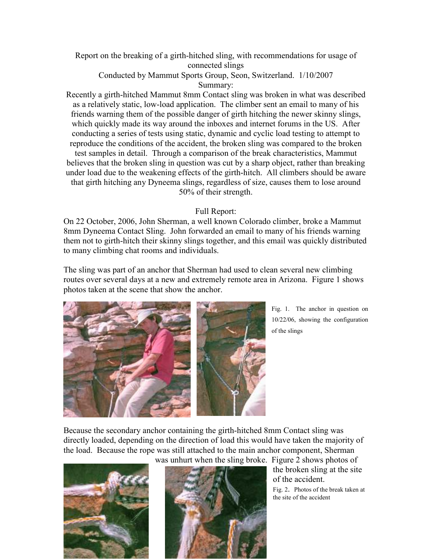Report on the breaking of a girth-hitched sling, with recommendations for usage of connected slings

Conducted by Mammut Sports Group, Seon, Switzerland. 1/10/2007 Summary:

Recently a girth-hitched Mammut 8mm Contact sling was broken in what was described as a relatively static, low-load application. The climber sent an email to many of his friends warning them of the possible danger of girth hitching the newer skinny slings, which quickly made its way around the inboxes and internet forums in the US. After conducting a series of tests using static, dynamic and cyclic load testing to attempt to reproduce the conditions of the accident, the broken sling was compared to the broken test samples in detail. Through a comparison of the break characteristics, Mammut believes that the broken sling in question was cut by a sharp object, rather than breaking under load due to the weakening effects of the girth-hitch. All climbers should be aware that girth hitching any Dyneema slings, regardless of size, causes them to lose around 50% of their strength.

## Full Report:

On 22 October, 2006, John Sherman, a well known Colorado climber, broke a Mammut 8mm Dyneema Contact Sling. John forwarded an email to many of his friends warning them not to girth-hitch their skinny slings together, and this email was quickly distributed to many climbing chat rooms and individuals.

The sling was part of an anchor that Sherman had used to clean several new climbing routes over several days at a new and extremely remote area in Arizona. Figure 1 shows photos taken at the scene that show the anchor.



Fig. 1. The anchor in question on 10/22/06, showing the configuration of the slings

Because the secondary anchor containing the girth-hitched 8mm Contact sling was directly loaded, depending on the direction of load this would have taken the majority of the load. Because the rope was still attached to the main anchor component, Sherman





the broken sling at the site of the accident. Fig. 2. Photos of the break taken at the site of the accident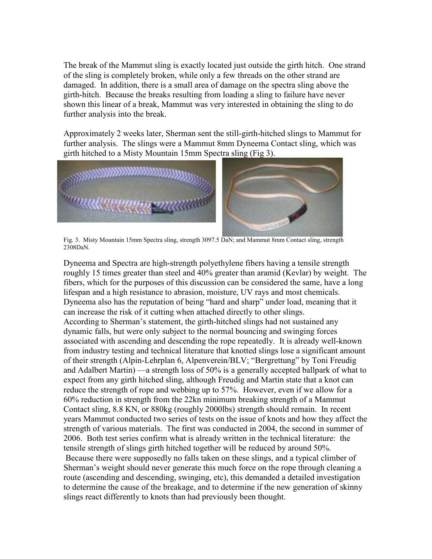The break of the Mammut sling is exactly located just outside the girth hitch. One strand of the sling is completely broken, while only a few threads on the other strand are damaged. In addition, there is a small area of damage on the spectra sling above the girth-hitch. Because the breaks resulting from loading a sling to failure have never shown this linear of a break, Mammut was very interested in obtaining the sling to do further analysis into the break.

Approximately 2 weeks later, Sherman sent the still-girth-hitched slings to Mammut for further analysis. The slings were a Mammut 8mm Dyneema Contact sling, which was girth hitched to a Misty Mountain 15mm Spectra sling (Fig 3).



Fig. 3. Misty Mountain 15mm Spectra sling, strength 3097.5 DaN; and Mammut 8mm Contact sling, strength 2308DaN.

Dyneema and Spectra are high-strength polyethylene fibers having a tensile strength roughly 15 times greater than steel and 40% greater than aramid (Kevlar) by weight. The fibers, which for the purposes of this discussion can be considered the same, have a long lifespan and a high resistance to abrasion, moisture, UV rays and most chemicals. Dyneema also has the reputation of being "hard and sharp" under load, meaning that it can increase the risk of it cutting when attached directly to other slings. According to Sherman's statement, the girth-hitched slings had not sustained any dynamic falls, but were only subject to the normal bouncing and swinging forces associated with ascending and descending the rope repeatedly. It is already well-known from industry testing and technical literature that knotted slings lose a significant amount of their strength (Alpin-Lehrplan 6, Alpenverein/BLV; "Bergrettung" by Toni Freudig and Adalbert Martin) —a strength loss of 50% is a generally accepted ballpark of what to expect from any girth hitched sling, although Freudig and Martin state that a knot can reduce the strength of rope and webbing up to 57%. However, even if we allow for a 60% reduction in strength from the 22kn minimum breaking strength of a Mammut Contact sling, 8.8 KN, or 880kg (roughly 2000lbs) strength should remain. In recent years Mammut conducted two series of tests on the issue of knots and how they affect the strength of various materials. The first was conducted in 2004, the second in summer of 2006. Both test series confirm what is already written in the technical literature: the tensile strength of slings girth hitched together will be reduced by around 50%. Because there were supposedly no falls taken on these slings, and a typical climber of Sherman's weight should never generate this much force on the rope through cleaning a route (ascending and descending, swinging, etc), this demanded a detailed investigation to determine the cause of the breakage, and to determine if the new generation of skinny slings react differently to knots than had previously been thought.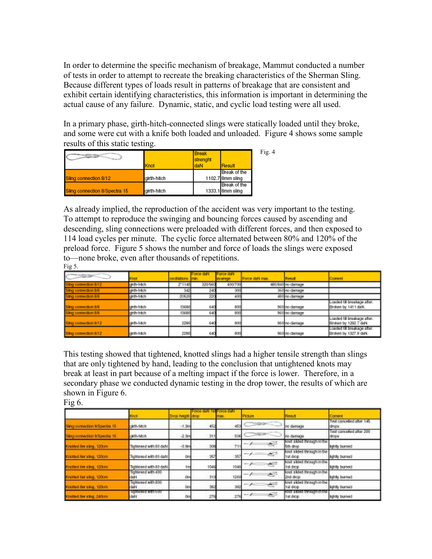In order to determine the specific mechanism of breakage, Mammut conducted a number of tests in order to attempt to recreate the breaking characteristics of the Sherman Sling. Because different types of loads result in patterns of breakage that are consistent and exhibit certain identifying characteristics, this information is important in determining the actual cause of any failure. Dynamic, static, and cyclic load testing were all used.

In a primary phase, girth-hitch-connected slings were statically loaded until they broke, and some were cut with a knife both loaded and unloaded. Figure 4 shows some sample results of this static testing.

| $\begin{picture}(20,10) \put(0,0){\line(1,0){10}} \put(15,0){\line(1,0){10}} \put(15,0){\line(1,0){10}} \put(15,0){\line(1,0){10}} \put(15,0){\line(1,0){10}} \put(15,0){\line(1,0){10}} \put(15,0){\line(1,0){10}} \put(15,0){\line(1,0){10}} \put(15,0){\line(1,0){10}} \put(15,0){\line(1,0){10}} \put(15,0){\line(1,0){10}} \put(15,0){\line(1$ | Knot        | <b>Break</b><br>strenght<br>daN<br>Result | Fig. $4$ |
|-----------------------------------------------------------------------------------------------------------------------------------------------------------------------------------------------------------------------------------------------------------------------------------------------------------------------------------------------------|-------------|-------------------------------------------|----------|
| Sling connection 8/12                                                                                                                                                                                                                                                                                                                               | airth-hitch | Break of the<br>1102.7 8mm sling          |          |
| Sling connection 8/Spectra 15                                                                                                                                                                                                                                                                                                                       | girth-hitch | Break of the<br>1333.1 8mm sling          |          |

As already implied, the reproduction of the accident was very important to the testing. To attempt to reproduce the swinging and bouncing forces caused by ascending and descending, sling connections were preloaded with different forces, and then exposed to 114 load cycles per minute. The cyclic force alternated between 80% and 120% of the preload force. Figure 5 shows the number and force of loads the slings were exposed to—none broke, even after thousands of repetitions. Fig  $5$ .

| <b>CONTRACTOR</b>    | mot          | oscillations train. | orce daN | Force daN<br>spension | Force dalV max. | <b>Result</b>     | Coment                                                |
|----------------------|--------------|---------------------|----------|-----------------------|-----------------|-------------------|-------------------------------------------------------|
| omection 8/12        | girth-hitch  | 2'1140              | 320/560  | 400/700               |                 | 491/840 no damage |                                                       |
| connection 8/9       | girth-hitch  |                     | 240      | 300                   |                 | 360 no damage     |                                                       |
| Ing connection 8/9   | girth-hitch  | 20620               | 220      | 400                   |                 | 490 no damage     |                                                       |
| Sing connection 8/8  | girth-hitch  | 13680               | 640      | 800                   |                 | 960 no damage     | Loaded till breakage after.<br>Eroken by 1411 daN.    |
| Sing connection 8/9  | girth-hitch  | 13680               | 640      | 800                   |                 | 960 no damage     |                                                       |
| Sing connection 8/12 | girth-hillch | 2290                | 640      | 800                   |                 | 960 no damage     | Loaded till breakage after.<br>Eroken by 1292.7 daN.  |
| Sing connection 8/12 | girth-hitch  | 2290                | 640      | 800                   |                 | 960 no damage     | Econoci til brezkage after.<br>Eroken by 1327.9 dalN. |

This testing showed that tightened, knotted slings had a higher tensile strength than slings that are only tightened by hand, leading to the conclusion that untightened knots may break at least in part because of a melting impact if the force is lower. Therefore, in a secondary phase we conducted dynamic testing in the drop tower, the results of which are shown in Figure 6.

|                                | Vici                                           | Drop height (drop) |      | <b>TEM</b> | <b>Picture</b>   | Result                                          | Corneral                          |
|--------------------------------|------------------------------------------------|--------------------|------|------------|------------------|-------------------------------------------------|-----------------------------------|
| Strig connection 6/Spectra 15  | cirth-hitch                                    | $-1.300$           | 452  | 453        | --               | no damage.                                      | Test canceled after 145<br>drops  |
| Sing connection & Spectra, 15  | oirth-hitch                                    | $-2.3m$            | \$11 | 606        | ਵ∸               | in damage                                       | Test cancelled after 200<br>drops |
| Knotted Set sing, 120cm        | Tightened with 30 daN                          | $-0.9m$            | 308  | 711        | $\frac{1}{2}$    | Brook shows through in the<br>Sth drop          | lightly burned                    |
| Knotted Ser sling, 120cm.      | Tightened with 80 daN.                         | On                 | 357  | 357        | $\epsilon$<br>-- | Brrot slided through in the<br><b>STER CHOO</b> | Sontly burned                     |
| <b>Machine Ferraing: 120cm</b> | Tightened with 30 daN                          | tro                | 1046 | 1046       |                  | Byyot slided through in the<br>fist drop        | lightly burned                    |
| Knottall her sing; 120cm       | Tightened with 400<br>dahl                     | <b>Dm</b>          | 313  | 1260       | e<br>--          | Briot silded through in the<br><b>Cind</b> drop | lightly burned                    |
| Knottad Berlaing, 120cm        | TigNasad with 800<br>daN                       | 0 <sub>m</sub>     | 382  | 382        | All T<br>-- 2    | Briot stided through in the<br>1st drop         | lightly burned                    |
| <b>Hondard Serving, 240cm</b>  | <b>ID BRIDGE WINDSOF</b><br><b>Clash &amp;</b> | 0m                 | 276  | 276        | £.<br>-- 1       | 1st drop                                        | lightly burned                    |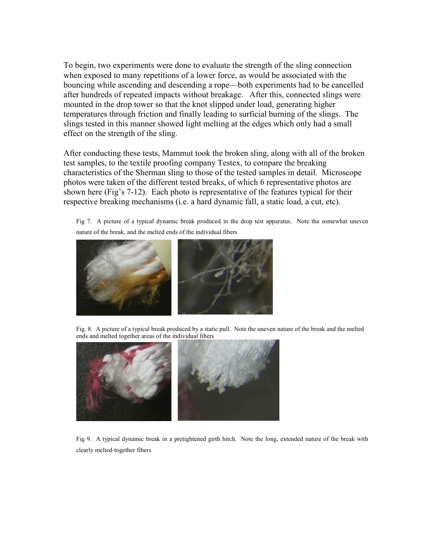To begin, two experiments were done to evaluate the strength of the sling connection when exposed to many repetitions of a lower force, as would be associated with the bouncing while ascending and descending a rope—both experiments had to be cancelled after hundreds of repeated impacts without breakage. After this, connected slings were mounted in the drop tower so that the knot slipped under load, generating higher temperatures through friction and finally leading to surficial burning of the slings. The slings tested in this manner showed light melting at the edges which only had a small effect on the strength of the sling.

After conducting these tests, Mammut took the broken sling, along with all of the broken test samples, to the textile proofing company Testex, to compare the breaking characteristics of the Sherman sling to those of the tested samples in detail. Microscope photos were taken of the different tested breaks, of which 6 representative photos are shown here (Fig's 7-12). Each photo is representative of the features typical for their respective breaking mechanisms (i.e. a hard dynamic fall, a static load, a cut, etc).

Fig 7. A picture of a typical dynamic break produced in the drop test apparatus. Note the somewhat uneven nature of the break, and the melted ends of the individual fibers



Fig. 8. A picture of a typical break produced by a static pull. Note the uneven nature of the break and the melted ends and melted together areas of the individual fibers



Fig 9. A typical dynamic break in a pretightened girth hitch. Note the long, extended nature of the break with clearly melted-together fibers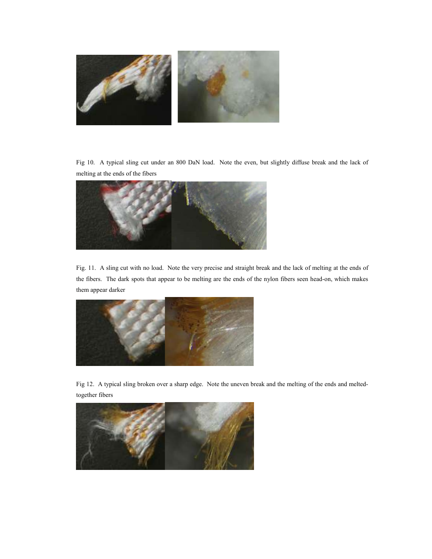

Fig 10. A typical sling cut under an 800 DaN load. Note the even, but slightly diffuse break and the lack of melting at the ends of the fibers



Fig. 11. A sling cut with no load. Note the very precise and straight break and the lack of melting at the ends of the fibers. The dark spots that appear to be melting are the ends of the nylon fibers seen head-on, which makes them appear darker



Fig 12. A typical sling broken over a sharp edge. Note the uneven break and the melting of the ends and meltedtogether fibers

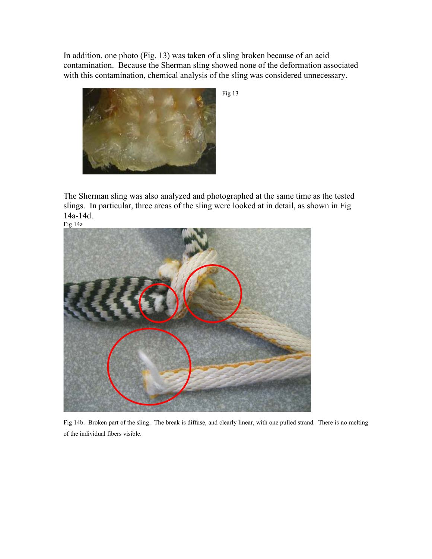In addition, one photo (Fig. 13) was taken of a sling broken because of an acid contamination. Because the Sherman sling showed none of the deformation associated with this contamination, chemical analysis of the sling was considered unnecessary.



Fig 13

The Sherman sling was also analyzed and photographed at the same time as the tested slings. In particular, three areas of the sling were looked at in detail, as shown in Fig 14a-14d.



Fig 14b. Broken part of the sling. The break is diffuse, and clearly linear, with one pulled strand. There is no melting of the individual fibers visible.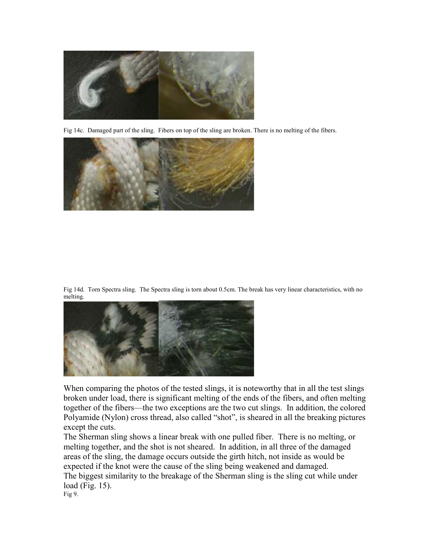

Fig 14c. Damaged part of the sling. Fibers on top of the sling are broken. There is no melting of the fibers.



Fig 14d. Torn Spectra sling. The Spectra sling is torn about 0.5cm. The break has very linear characteristics, with no melting.



When comparing the photos of the tested slings, it is noteworthy that in all the test slings broken under load, there is significant melting of the ends of the fibers, and often melting together of the fibers—the two exceptions are the two cut slings. In addition, the colored Polyamide (Nylon) cross thread, also called "shot", is sheared in all the breaking pictures except the cuts.

The Sherman sling shows a linear break with one pulled fiber. There is no melting, or melting together, and the shot is not sheared. In addition, in all three of the damaged areas of the sling, the damage occurs outside the girth hitch, not inside as would be expected if the knot were the cause of the sling being weakened and damaged.

The biggest similarity to the breakage of the Sherman sling is the sling cut while under load (Fig. 15).

Fig 9.